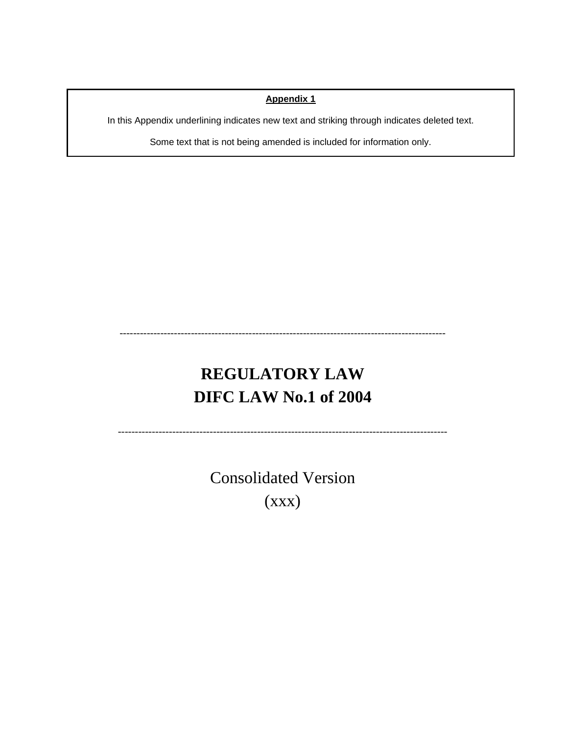#### **Appendix 1**

In this Appendix underlining indicates new text and striking through indicates deleted text.

Some text that is not being amended is included for information only.

# **REGULATORY LAW DIFC LAW No.1 of 2004**

------------------------------------------------------------------------------------------------

-------------------------------------------------------------------------------------------------

Consolidated Version (xxx)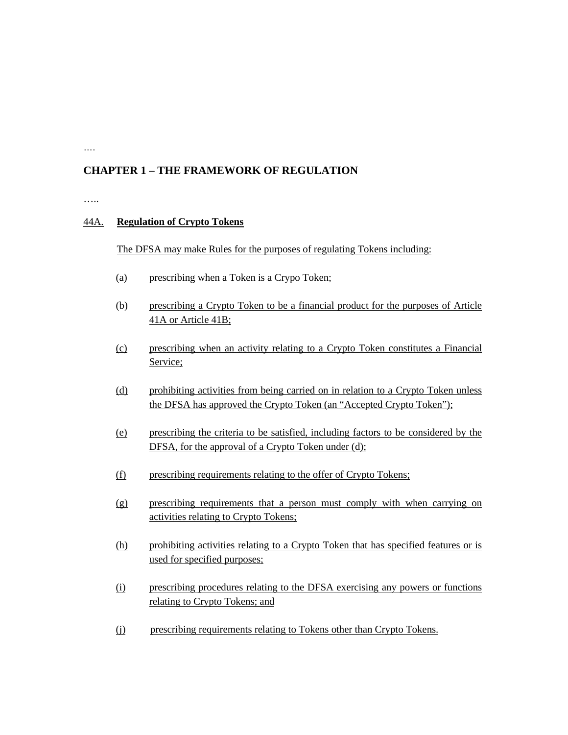### **CHAPTER 1 – THE FRAMEWORK OF REGULATION**

……

….

#### 44A. **Regulation of Crypto Tokens**

The DFSA may make Rules for the purposes of regulating Tokens including:

- (a) prescribing when a Token is a Crypo Token;
- (b) prescribing a Crypto Token to be a financial product for the purposes of Article 41A or Article 41B;
- (c) prescribing when an activity relating to a Crypto Token constitutes a Financial Service;
- (d) prohibiting activities from being carried on in relation to a Crypto Token unless the DFSA has approved the Crypto Token (an "Accepted Crypto Token");
- (e) prescribing the criteria to be satisfied, including factors to be considered by the DFSA, for the approval of a Crypto Token under (d);
- (f) prescribing requirements relating to the offer of Crypto Tokens;
- (g) prescribing requirements that a person must comply with when carrying on activities relating to Crypto Tokens;
- (h) prohibiting activities relating to a Crypto Token that has specified features or is used for specified purposes;
- (i) prescribing procedures relating to the DFSA exercising any powers or functions relating to Crypto Tokens; and
- (j) prescribing requirements relating to Tokens other than Crypto Tokens.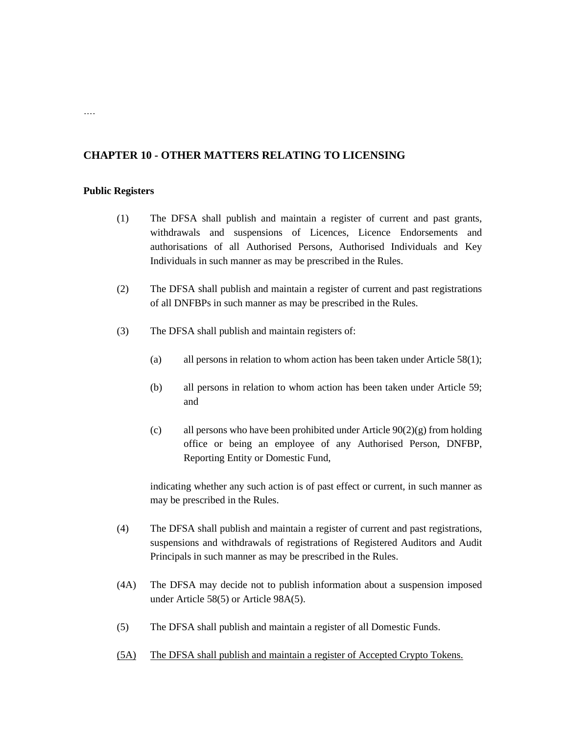#### **CHAPTER 10 - OTHER MATTERS RELATING TO LICENSING**

#### **Public Registers**

- (1) The DFSA shall publish and maintain a register of current and past grants, withdrawals and suspensions of Licences, Licence Endorsements and authorisations of all Authorised Persons, Authorised Individuals and Key Individuals in such manner as may be prescribed in the Rules.
- (2) The DFSA shall publish and maintain a register of current and past registrations of all DNFBPs in such manner as may be prescribed in the Rules.
- (3) The DFSA shall publish and maintain registers of:
	- (a) all persons in relation to whom action has been taken under Article 58(1);
	- (b) all persons in relation to whom action has been taken under Article 59; and
	- (c) all persons who have been prohibited under Article  $90(2)(g)$  from holding office or being an employee of any Authorised Person, DNFBP, Reporting Entity or Domestic Fund,

indicating whether any such action is of past effect or current, in such manner as may be prescribed in the Rules.

- (4) The DFSA shall publish and maintain a register of current and past registrations, suspensions and withdrawals of registrations of Registered Auditors and Audit Principals in such manner as may be prescribed in the Rules.
- (4A) The DFSA may decide not to publish information about a suspension imposed under Article 58(5) or Article 98A(5).
- (5) The DFSA shall publish and maintain a register of all Domestic Funds.
- (5A) The DFSA shall publish and maintain a register of Accepted Crypto Tokens.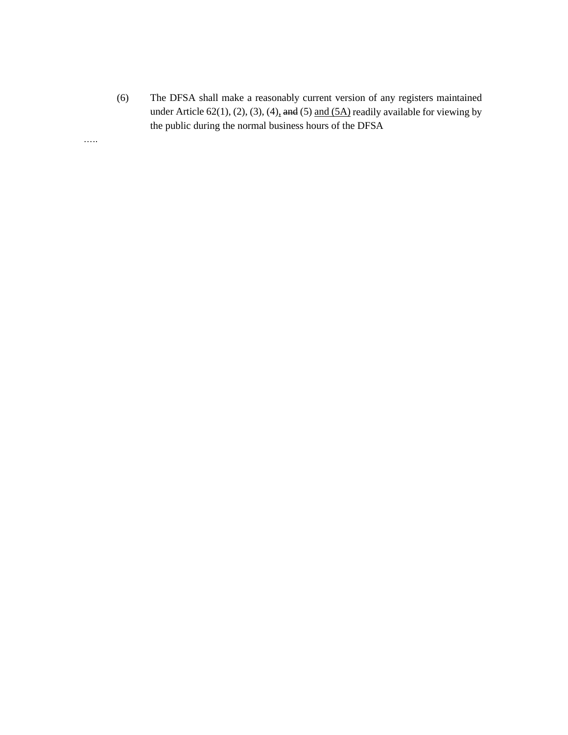(6) The DFSA shall make a reasonably current version of any registers maintained under Article 62(1), (2), (3), (4), and (5) and  $(5A)$  readily available for viewing by the public during the normal business hours of the DFSA

…..